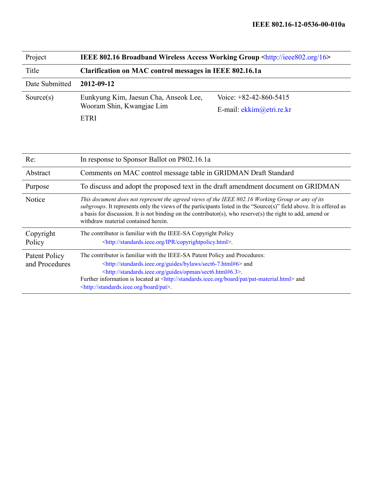| Project        | IEEE 802.16 Broadband Wireless Access Working Group <http: 16="" ieee802.org=""></http:> |                            |  |  |  |
|----------------|------------------------------------------------------------------------------------------|----------------------------|--|--|--|
| Title          | Clarification on MAC control messages in IEEE 802.16.1a                                  |                            |  |  |  |
| Date Submitted | 2012-09-12                                                                               |                            |  |  |  |
| Source $(s)$   | Eunkyung Kim, Jaesun Cha, Anseok Lee,                                                    | Voice: $+82-42-860-5415$   |  |  |  |
|                | Wooram Shin, Kwangjae Lim                                                                | E-mail: $ekkim@etri.re.kr$ |  |  |  |
|                | ETRI                                                                                     |                            |  |  |  |

| Re:                             | In response to Sponsor Ballot on P802.16.1a                                                                                                                                                                                                                                                                                                                                                                                   |
|---------------------------------|-------------------------------------------------------------------------------------------------------------------------------------------------------------------------------------------------------------------------------------------------------------------------------------------------------------------------------------------------------------------------------------------------------------------------------|
| Abstract                        | Comments on MAC control message table in GRIDMAN Draft Standard                                                                                                                                                                                                                                                                                                                                                               |
| Purpose                         | To discuss and adopt the proposed text in the draft amendment document on GRIDMAN                                                                                                                                                                                                                                                                                                                                             |
| Notice                          | This document does not represent the agreed views of the IEEE 802.16 Working Group or any of its<br>subgroups. It represents only the views of the participants listed in the "Source(s)" field above. It is offered as<br>a basis for discussion. It is not binding on the contributor(s), who reserve(s) the right to add, amend or<br>withdraw material contained herein.                                                  |
| Copyright<br>Policy             | The contributor is familiar with the IEEE-SA Copyright Policy<br><http: copyrightpolicy.html="" ipr="" standards.ieee.org="">.</http:>                                                                                                                                                                                                                                                                                        |
| Patent Policy<br>and Procedures | The contributor is familiar with the IEEE-SA Patent Policy and Procedures:<br><http: bylaws="" guides="" sect6-7.html#6="" standards.ieee.org=""> and<br/><http: guides="" opman="" sect6.html#6.3="" standards.ieee.org="">.<br/>Further information is located at <http: board="" pat="" pat-material.html="" standards.ieee.org=""> and<br/><http: board="" pat="" standards.ieee.org="">.</http:></http:></http:></http:> |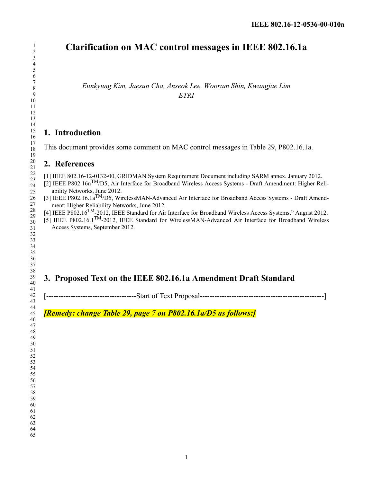# **Clarification on MAC control messages in IEEE 802.16.1a**

*Eunkyung Kim, Jaesun Cha, Anseok Lee, Wooram Shin, Kwangjae Lim ETRI*

### **1. Introduction**

This document provides some comment on MAC control messages in Table 29, P802.16.1a.

### **2. References**

[1] IEEE 802.16-12-0132-00, GRIDMAN System Requirement Document including SARM annex, January 2012.

- [2] IEEE P802.16nTM/D5, Air Interface for Broadband Wireless Access Systems Draft Amendment: Higher Reliability Networks, June 2012.
- [3] IEEE P802.16.1a<sup>TM</sup>/D5, WirelessMAN-Advanced Air Interface for Broadband Access Systems Draft Amendment: Higher Reliability Networks, June 2012.
- [4] IEEE P802.16TM-2012, IEEE Standard for Air Interface for Broadband Wireless Access Systems," August 2012.
- [5] IEEE P802.16.1TM-2012, IEEE Standard for WirelessMAN-Advanced Air Interface for Broadband Wireless Access Systems, September 2012.

## **3. Proposed Text on the IEEE 802.16.1a Amendment Draft Standard**

[-------------------------------------Start of Text Proposal---------------------------------------------------]

*[Remedy: change Table 29, page 7 on P802.16.1a/D5 as follows:]*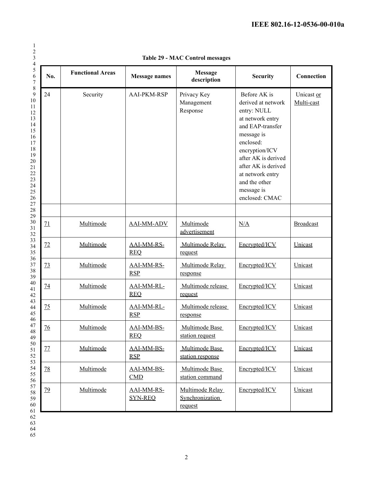| $\mathbf{1}$                   |
|--------------------------------|
| $\overline{\mathbf{r}}$        |
|                                |
| 345678910                      |
|                                |
|                                |
|                                |
|                                |
|                                |
| $\frac{1}{1}$<br>$\mathbf{1}$  |
|                                |
|                                |
|                                |
|                                |
|                                |
|                                |
|                                |
|                                |
|                                |
|                                |
|                                |
|                                |
|                                |
|                                |
|                                |
|                                |
|                                |
|                                |
|                                |
|                                |
|                                |
|                                |
|                                |
|                                |
|                                |
|                                |
|                                |
|                                |
|                                |
| 4                              |
| 46                             |
| $\overline{17}$<br>48          |
| $\mathfrak{g}$<br>∢            |
| $\frac{1}{50}$                 |
| $\overline{\phantom{0}}$<br>1  |
| 5<br>$\mathbf{c}$              |
| $\overline{\mathbf{5}}$<br>ξ   |
| 54                             |
| -<br>55                        |
| 56<br>$\overline{\phantom{a}}$ |
| 58                             |
| 59                             |
| 60                             |
| 61                             |
| 6<br>$\overline{c}$            |
| $\overline{6}$<br>i            |
|                                |

| No.       | <b>Functional Areas</b> | <b>Message names</b>         | <b>Message</b><br>description                 | <b>Security</b>                                                                                                                                                                                                                                           | Connection               |
|-----------|-------------------------|------------------------------|-----------------------------------------------|-----------------------------------------------------------------------------------------------------------------------------------------------------------------------------------------------------------------------------------------------------------|--------------------------|
| 24        | Security                | <b>AAI-PKM-RSP</b>           | Privacy Key<br>Management<br>Response         | Before AK is<br>derived at network<br>entry: NULL<br>at network entry<br>and EAP-transfer<br>message is<br>enclosed:<br>encryption/ICV<br>after AK is derived<br>after AK is derived<br>at network entry<br>and the other<br>message is<br>enclosed: CMAC | Unicast or<br>Multi-cast |
|           |                         |                              |                                               |                                                                                                                                                                                                                                                           |                          |
| 71        | Multimode               | <b>AAI-MM-ADV</b>            | Multimode<br>advertisement                    | N/A                                                                                                                                                                                                                                                       | <b>Broadcast</b>         |
| 72        | Multimode               | AAI-MM-RS-<br><b>REQ</b>     | Multimode Relay<br>request                    | Encrypted/ICV                                                                                                                                                                                                                                             | Unicast                  |
| 73        | Multimode               | AAI-MM-RS-<br><b>RSP</b>     | Multimode Relay<br>response                   | Encrypted/ICV                                                                                                                                                                                                                                             | Unicast                  |
| 74        | Multimode               | AAI-MM-RL-<br><b>REO</b>     | Multimode release<br>request                  | Encrypted/ICV                                                                                                                                                                                                                                             | Unicast                  |
| 75        | Multimode               | AAI-MM-RL-<br><b>RSP</b>     | Multimode release<br>response                 | Encrypted/ICV                                                                                                                                                                                                                                             | Unicast                  |
| <u>76</u> | Multimode               | AAI-MM-BS-<br><b>REQ</b>     | Multimode Base<br>station request             | Encrypted/ICV                                                                                                                                                                                                                                             | Unicast                  |
| 77        | Multimode               | AAI-MM-BS-<br><b>RSP</b>     | Multimode Base<br>station response            | Encrypted/ICV                                                                                                                                                                                                                                             | Unicast                  |
| 78        | Multimode               | AAI-MM-BS-<br>CMD            | Multimode Base<br>station command             | Encrypted/ICV                                                                                                                                                                                                                                             | Unicast                  |
| <u>79</u> | Multimode               | AAI-MM-RS-<br><b>SYN-REQ</b> | Multimode Relay<br>Synchronization<br>request | Encrypted/ICV                                                                                                                                                                                                                                             | Unicast                  |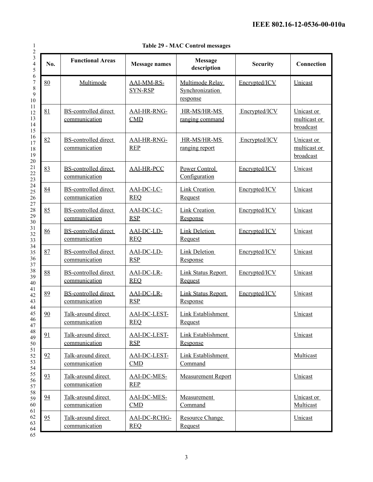|  |  |  | <b>Table 29 - MAC Control messages</b> |
|--|--|--|----------------------------------------|
|--|--|--|----------------------------------------|

| No. | <b>Functional Areas</b>                      | <b>Message names</b>              | <b>Message</b><br>description                  | <b>Security</b> | Connection                              |
|-----|----------------------------------------------|-----------------------------------|------------------------------------------------|-----------------|-----------------------------------------|
| 80  | Multimode                                    | AAI-MM-RS-<br><b>SYN-RSP</b>      | Multimode Relay<br>Synchronization<br>response | Encrypted/ICV   | Unicast                                 |
| 81  | <b>BS-controlled direct</b><br>communication | <b>AAI-HR-RNG-</b><br>CMD         | HR-MS/HR-MS<br>ranging command                 | Encrypted/ICV   | Unicast or<br>multicast or<br>broadcast |
| 82  | BS-controlled direct<br>communication        | AAI-HR-RNG-<br><b>REP</b>         | HR-MS/HR-MS<br>ranging report                  | Encrypted/ICV   | Unicast or<br>multicast or<br>broadcast |
| 83  | <b>BS-controlled direct</b><br>communication | <b>AAI-HR-PCC</b>                 | Power Control<br>Configuration                 | Encrypted/ICV   | Unicast                                 |
| 84  | <b>BS-controlled direct</b><br>communication | AAI-DC-LC-<br><b>REO</b>          | <b>Link Creation</b><br>Request                | Encrypted/ICV   | Unicast                                 |
| 85  | <b>BS-controlled direct</b><br>communication | AAI-DC-LC-<br><b>RSP</b>          | Link Creation<br>Response                      | Encrypted/ICV   | Unicast                                 |
| 86  | <b>BS-controlled direct</b><br>communication | AAI-DC-LD-<br><b>REQ</b>          | <b>Link Deletion</b><br>Request                | Encrypted/ICV   | Unicast                                 |
| 87  | <b>BS-controlled direct</b><br>communication | AAI-DC-LD-<br>RSP                 | <b>Link Deletion</b><br>Response               | Encrypted/ICV   | Unicast                                 |
| 88  | <b>BS-controlled direct</b><br>communication | AAI-DC-LR-<br><b>REO</b>          | <b>Link Status Report</b><br>Request           | Encrypted/ICV   | Unicast                                 |
| 89  | <b>BS-controlled direct</b><br>communication | AAI-DC-LR-<br><b>RSP</b>          | Link Status Report<br>Response                 | Encrypted/ICV   | Unicast                                 |
| 90  | Talk-around direct<br>communication          | <b>AAI-DC-LEST-</b><br><b>REQ</b> | Link Establishment<br>Request                  |                 | Unicast                                 |
| 91  | Talk-around direct<br>communication          | <b>AAI-DC-LEST-</b><br><b>RSP</b> | Link Establishment<br>Response                 |                 | Unicast                                 |
| 92  | Talk-around direct<br>communication          | <b>AAI-DC-LEST-</b><br><b>CMD</b> | Link Establishment<br>Command                  |                 | Multicast                               |
| 93  | Talk-around direct<br>communication          | <b>AAI-DC-MES-</b><br><b>REP</b>  | <b>Measurement Report</b>                      |                 | Unicast                                 |
| 94  | Talk-around direct<br>communication          | <b>AAI-DC-MES-</b><br>CMD         | Measurement<br>Command                         |                 | Unicast or<br>Multicast                 |
| 95  | Talk-around direct<br>communication          | AAI-DC-RCHG-<br><b>REQ</b>        | <b>Resource Change</b><br>Request              |                 | Unicast                                 |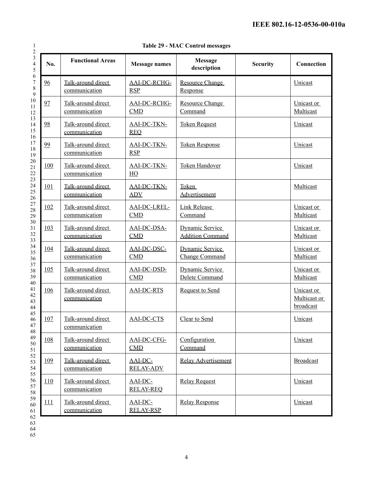| Table 29 - MAC Control messages |  |  |
|---------------------------------|--|--|
|---------------------------------|--|--|

| No.        | <b>Functional Areas</b>             | <b>Message names</b>             | <b>Message</b><br>description                     | <b>Security</b> | Connection                              |
|------------|-------------------------------------|----------------------------------|---------------------------------------------------|-----------------|-----------------------------------------|
| 96         | Talk-around direct<br>communication | AAI-DC-RCHG-<br><b>RSP</b>       | <b>Resource Change</b><br>Response                |                 | Unicast                                 |
| 97         | Talk-around direct<br>communication | AAI-DC-RCHG-<br><b>CMD</b>       | <b>Resource Change</b><br>Command                 |                 | Unicast or<br>Multicast                 |
| 98         | Talk-around direct<br>communication | AAI-DC-TKN-<br><b>REQ</b>        | <b>Token Request</b>                              |                 | Unicast                                 |
| 99         | Talk-around direct<br>communication | <b>AAI-DC-TKN-</b><br><b>RSP</b> | <b>Token Response</b>                             |                 | Unicast                                 |
| 100        | Talk-around direct<br>communication | <b>AAI-DC-TKN-</b><br>HO         | Token Handover                                    |                 | Unicast                                 |
| 101        | Talk-around direct<br>communication | AAI-DC-TKN-<br><b>ADV</b>        | Token<br>Advertisement                            |                 | Multicast                               |
| 102        | Talk-around direct<br>communication | <b>AAI-DC-LREL-</b><br>CMD       | <b>Link Release</b><br>Command                    |                 | Unicast or<br>Multicast                 |
| 103        | Talk-around direct<br>communication | AAI-DC-DSA-<br><b>CMD</b>        | <b>Dynamic Service</b><br><b>Addition Command</b> |                 | Unicast or<br>Multicast                 |
| 104        | Talk-around direct<br>communication | AAI-DC-DSC-<br><b>CMD</b>        | Dynamic Service<br>Change Command                 |                 | Unicast or<br>Multicast                 |
| 105        | Talk-around direct<br>communication | AAI-DC-DSD-<br><b>CMD</b>        | Dynamic Service<br>Delete Command                 |                 | Unicast or<br>Multicast                 |
| 106        | Talk-around direct<br>communication | <b>AAI-DC-RTS</b>                | <b>Request to Send</b>                            |                 | Unicast or<br>Multicast or<br>broadcast |
| 107        | Talk-around direct<br>communication | AAI-DC-CTS                       | Clear to Send                                     |                 | Unicast                                 |
| 108        | Talk-around direct<br>communication | AAI-DC-CFG-<br><b>CMD</b>        | Configuration<br>Command                          |                 | Unicast                                 |
| 109        | Talk-around direct<br>communication | AAI-DC-<br><b>RELAY-ADV</b>      | <b>Relay Advertisement</b>                        |                 | <b>Broadcast</b>                        |
| <b>110</b> | Talk-around direct<br>communication | AAI-DC-<br><b>RELAY-REQ</b>      | <b>Relay Request</b>                              |                 | Unicast                                 |
| 111        | Talk-around direct<br>communication | AAI-DC-<br><b>RELAY-RSP</b>      | Relay Response                                    |                 | Unicast                                 |

1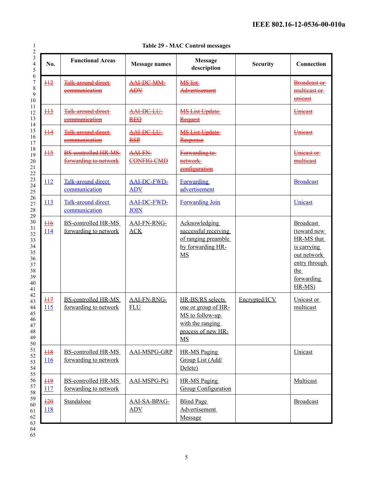| 1                                                 |
|---------------------------------------------------|
| $\overline{\mathbf{r}}$                           |
|                                                   |
| 3456789101                                        |
|                                                   |
|                                                   |
|                                                   |
|                                                   |
|                                                   |
|                                                   |
|                                                   |
|                                                   |
|                                                   |
|                                                   |
|                                                   |
|                                                   |
|                                                   |
|                                                   |
|                                                   |
|                                                   |
|                                                   |
|                                                   |
|                                                   |
|                                                   |
|                                                   |
|                                                   |
|                                                   |
|                                                   |
|                                                   |
|                                                   |
|                                                   |
|                                                   |
|                                                   |
|                                                   |
|                                                   |
|                                                   |
|                                                   |
|                                                   |
| 46                                                |
| 47                                                |
| 48                                                |
| $\frac{1}{2}$<br>∢<br>50                          |
| $\overline{5}$<br>l                               |
| 5<br>$\mathbf{c}$                                 |
| 5<br>ξ                                            |
| -<br>54                                           |
| 55                                                |
| 56<br>$\overline{\mathbf{S}}$                     |
| 58                                                |
| 59                                                |
| 60                                                |
| 61                                                |
| $\overline{6}$<br>$\mathcal{C}$<br>$\overline{6}$ |
| i                                                 |
|                                                   |

|  |  |  |  | <b>Table 29 - MAC Control messages</b> |
|--|--|--|--|----------------------------------------|
|--|--|--|--|----------------------------------------|

| No.                           | <b>Functional Areas</b>                              | <b>Message names</b>                 | <b>Message</b><br>description                                                                              | <b>Security</b> | Connection                                                                                                                     |
|-------------------------------|------------------------------------------------------|--------------------------------------|------------------------------------------------------------------------------------------------------------|-----------------|--------------------------------------------------------------------------------------------------------------------------------|
| $\frac{112}{1}$               | <b>Talk around direct</b><br>eommunication           | <b>AAI DC MM</b><br>$\overline{APY}$ | <b>MS</b> list<br>Advertisement                                                                            |                 | <b>Broadcast or</b><br>multicast or-<br>unicast                                                                                |
| $\frac{113}{1}$               | <b>Talk-around direct</b><br>communication           | AAI-DC-LU-<br><b>REQ</b>             | <b>MS List Update</b><br>Request                                                                           |                 | Unicast                                                                                                                        |
| $\pm 14$                      | <b>Talk-around direct</b><br>communication           | AAI-DC-LU-<br><b>RSP</b>             | <b>MS List Update</b><br>Response                                                                          |                 | Unicast                                                                                                                        |
| $\frac{115}{1}$               | <b>BS-controlled HR-MS-</b><br>forwarding to network | <b>AAI-FN-</b><br>CONFIG-CMD         | Forwarding to<br>network<br>configuration                                                                  |                 | Unicast or<br>multicast                                                                                                        |
| 112                           | Talk-around direct<br>communication                  | <b>AAI-DC-FWD-</b><br><b>ADV</b>     | <b>Forwarding</b><br>advertisement                                                                         |                 | <b>Broadcast</b>                                                                                                               |
| 113                           | Talk-around direct<br>communication                  | <b>AAI-DC-FWD-</b><br><b>JOIN</b>    | <b>Forwarding Join</b>                                                                                     |                 | Unicast                                                                                                                        |
| $116$<br>114                  | <b>BS-controlled HR-MS</b><br>forwarding to network  | <b>AAI-FN-RNG-</b><br>ACK            | <b>Acknowledging</b><br>successful receiving<br>of ranging preamble<br>by forwarding HR-<br>MS             |                 | <b>Broadcast</b><br>(toward new<br>HR-MS that<br>is carrying<br>out network<br>entry through<br>the<br>forwarding<br>$HR-MS$ ) |
| H7<br>115                     | <b>BS-controlled HR-MS</b><br>forwarding to network  | <b>AAI-FN-RNG-</b><br><b>FLU</b>     | HR-BS/RS selects<br>one or group of HR-<br>MS to follow-up<br>with the ranging<br>process of new HR-<br>MS | Encrypted/ICV   | Unicast or<br>multicast                                                                                                        |
| $\frac{118}{1}$<br>116        | <b>BS-controlled HR-MS</b><br>forwarding to network  | AAI-MSPG-GRP                         | <b>HR-MS Paging</b><br>Group List (Add/<br>Delete)                                                         |                 | Unicast                                                                                                                        |
| $\frac{119}{11}$<br>117       | <b>BS-controlled HR-MS</b><br>forwarding to network  | AAI-MSPG-PG                          | <b>HR-MS Paging</b><br><b>Group Configuration</b>                                                          |                 | Multicast                                                                                                                      |
| $\frac{120}{5}$<br><b>118</b> | Standalone                                           | AAI-SA-BPAG-<br>ADV                  | <b>Blind Page</b><br>Advertisement<br>Message                                                              |                 | <b>Broadcast</b>                                                                                                               |